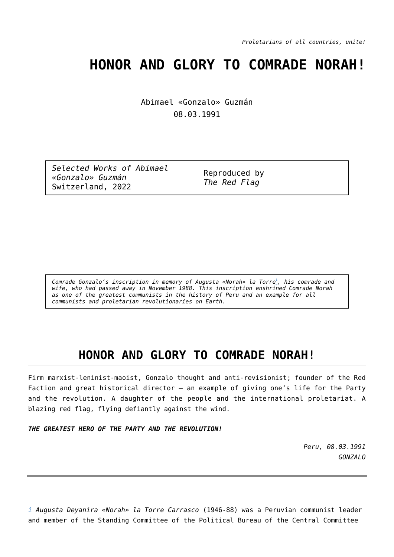*Proletarians of all countries, unite!*

## **HONOR AND GLORY TO COMRADE NORAH!**

Abimael «Gonzalo» Guzmán 08.03.1991

<span id="page-0-1"></span>*Comrade Gonzalo's inscription in memory of Augusta «Norah» la Torre*[i](#page-0-0) *, his comrade and wife, who had passed away in November 1988. This inscription enshrined Comrade Norah as one of the greatest communists in the history of Peru and an example for all communists and proletarian revolutionaries on Earth.*

## **HONOR AND GLORY TO COMRADE NORAH!**

Firm marxist-leninist-maoist, Gonzalo thought and anti-revisionist; founder of the Red Faction and great historical director - an example of giving one's life for the Party and the revolution. A daughter of the people and the international proletariat. A blazing red flag, flying defiantly against the wind.

*THE GREATEST HERO OF THE PARTY AND THE REVOLUTION!*

*Peru, 08.03.1991 GONZALO*

<span id="page-0-0"></span>*[i](#page-0-1) Augusta Deyanira «Norah» la Torre Carrasco* (1946-88) was a Peruvian communist leader and member of the Standing Committee of the Political Bureau of the Central Committee